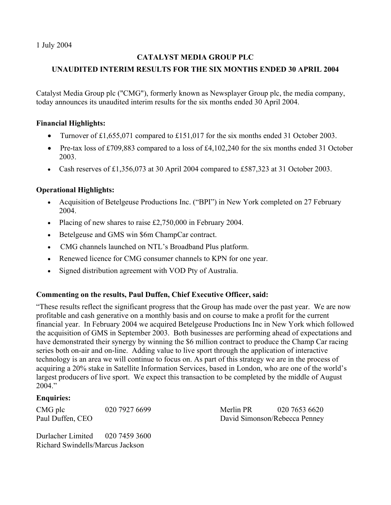1 July 2004

## **CATALYST MEDIA GROUP PLC**

# **UNAUDITED INTERIM RESULTS FOR THE SIX MONTHS ENDED 30 APRIL 2004**

Catalyst Media Group plc ("CMG"), formerly known as Newsplayer Group plc, the media company, today announces its unaudited interim results for the six months ended 30 April 2004.

### **Financial Highlights:**

- Turnover of £1,655,071 compared to £151,017 for the six months ended 31 October 2003.
- Pre-tax loss of £709,883 compared to a loss of £4,102,240 for the six months ended 31 October 2003.
- Cash reserves of £1,356,073 at 30 April 2004 compared to £587,323 at 31 October 2003.

## **Operational Highlights:**

- Acquisition of Betelgeuse Productions Inc. ("BPI") in New York completed on 27 February 2004.
- Placing of new shares to raise £2,750,000 in February 2004.
- Betelgeuse and GMS win \$6m ChampCar contract.
- CMG channels launched on NTL's Broadband Plus platform.
- Renewed licence for CMG consumer channels to KPN for one year.
- Signed distribution agreement with VOD Pty of Australia.

## **Commenting on the results, Paul Duffen, Chief Executive Officer, said:**

"These results reflect the significant progress that the Group has made over the past year. We are now profitable and cash generative on a monthly basis and on course to make a profit for the current financial year. In February 2004 we acquired Betelgeuse Productions Inc in New York which followed the acquisition of GMS in September 2003. Both businesses are performing ahead of expectations and have demonstrated their synergy by winning the \$6 million contract to produce the Champ Car racing series both on-air and on-line. Adding value to live sport through the application of interactive technology is an area we will continue to focus on. As part of this strategy we are in the process of acquiring a 20% stake in Satellite Information Services, based in London, who are one of the world's largest producers of live sport. We expect this transaction to be completed by the middle of August 2004."

#### **Enquiries:**

CMG plc 020 7927 6699 Merlin PR 020 7653 6620 Paul Duffen, CEO David Simonson/Rebecca Penney

Durlacher Limited 020 7459 3600 Richard Swindells/Marcus Jackson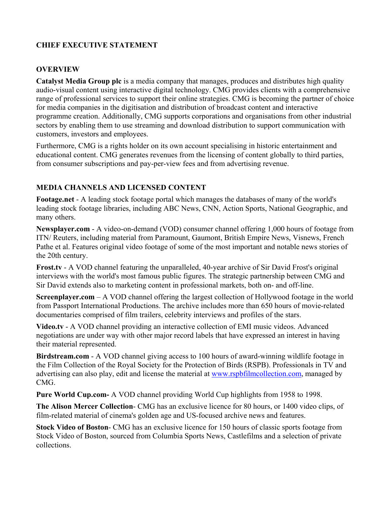# **CHIEF EXECUTIVE STATEMENT**

## **OVERVIEW**

**Catalyst Media Group plc** is a media company that manages, produces and distributes high quality audio-visual content using interactive digital technology. CMG provides clients with a comprehensive range of professional services to support their online strategies. CMG is becoming the partner of choice for media companies in the digitisation and distribution of broadcast content and interactive programme creation. Additionally, CMG supports corporations and organisations from other industrial sectors by enabling them to use streaming and download distribution to support communication with customers, investors and employees.

Furthermore, CMG is a rights holder on its own account specialising in historic entertainment and educational content. CMG generates revenues from the licensing of content globally to third parties, from consumer subscriptions and pay-per-view fees and from advertising revenue.

## **MEDIA CHANNELS AND LICENSED CONTENT**

**Footage.net** - A leading stock footage portal which manages the databases of many of the world's leading stock footage libraries, including ABC News, CNN, Action Sports, National Geographic, and many others.

**Newsplayer.com** - A video-on-demand (VOD) consumer channel offering 1,000 hours of footage from ITN/ Reuters, including material from Paramount, Gaumont, British Empire News, Visnews, French Pathe et al. Features original video footage of some of the most important and notable news stories of the 20th century.

**Frost.tv** - A VOD channel featuring the unparalleled, 40-year archive of Sir David Frost's original interviews with the world's most famous public figures. The strategic partnership between CMG and Sir David extends also to marketing content in professional markets, both on- and off-line.

**Screenplayer.com** – A VOD channel offering the largest collection of Hollywood footage in the world from Passport International Productions. The archive includes more than 650 hours of movie-related documentaries comprised of film trailers, celebrity interviews and profiles of the stars.

**Video.tv** - A VOD channel providing an interactive collection of EMI music videos. Advanced negotiations are under way with other major record labels that have expressed an interest in having their material represented.

**Birdstream.com** - A VOD channel giving access to 100 hours of award-winning wildlife footage in the Film Collection of the Royal Society for the Protection of Birds (RSPB). Professionals in TV and advertising can also play, edit and license the material at [www.rspbfilmcollection.com](http://www.rspbfilmcollection.com/), managed by CMG.

**Pure World Cup.com-** A VOD channel providing World Cup highlights from 1958 to 1998.

**The Alison Mercer Collection**- CMG has an exclusive licence for 80 hours, or 1400 video clips, of film-related material of cinema's golden age and US-focused archive news and features.

**Stock Video of Boston**- CMG has an exclusive licence for 150 hours of classic sports footage from Stock Video of Boston, sourced from Columbia Sports News, Castlefilms and a selection of private collections.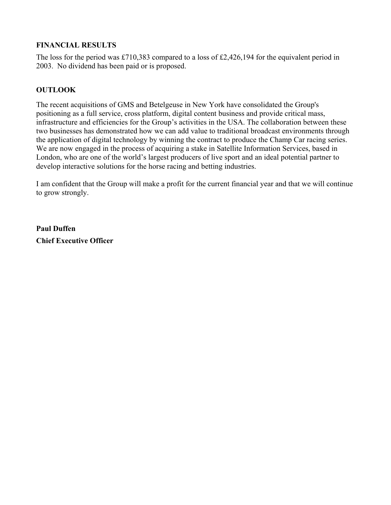## **FINANCIAL RESULTS**

The loss for the period was £710,383 compared to a loss of £2,426,194 for the equivalent period in 2003. No dividend has been paid or is proposed.

## **OUTLOOK**

The recent acquisitions of GMS and Betelgeuse in New York have consolidated the Group's positioning as a full service, cross platform, digital content business and provide critical mass, infrastructure and efficiencies for the Group's activities in the USA. The collaboration between these two businesses has demonstrated how we can add value to traditional broadcast environments through the application of digital technology by winning the contract to produce the Champ Car racing series. We are now engaged in the process of acquiring a stake in Satellite Information Services, based in London, who are one of the world's largest producers of live sport and an ideal potential partner to develop interactive solutions for the horse racing and betting industries.

I am confident that the Group will make a profit for the current financial year and that we will continue to grow strongly.

**Paul Duffen Chief Executive Officer**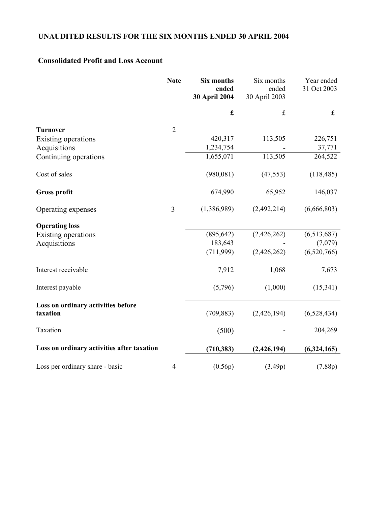# **UNAUDITED RESULTS FOR THE SIX MONTHS ENDED 30 APRIL 2004**

# **Consolidated Profit and Loss Account**

|                                                | <b>Note</b>    | <b>Six months</b><br>ended<br>30 April 2004 | Six months<br>ended<br>30 April 2003 | Year ended<br>31 Oct 2003 |
|------------------------------------------------|----------------|---------------------------------------------|--------------------------------------|---------------------------|
|                                                |                | $\pmb{\mathfrak{L}}$                        | $\mathbf f$                          | $\pounds$                 |
| <b>Turnover</b>                                | $\overline{2}$ |                                             |                                      |                           |
| Existing operations                            |                | 420,317                                     | 113,505                              | 226,751                   |
| Acquisitions                                   |                | 1,234,754                                   |                                      | 37,771                    |
| Continuing operations                          |                | 1,655,071                                   | 113,505                              | 264,522                   |
| Cost of sales                                  |                | (980, 081)                                  | (47, 553)                            | (118, 485)                |
| <b>Gross profit</b>                            |                | 674,990                                     | 65,952                               | 146,037                   |
| Operating expenses                             | 3              | (1,386,989)                                 | (2,492,214)                          | (6,666,803)               |
| <b>Operating loss</b>                          |                |                                             |                                      |                           |
| Existing operations                            |                | (895, 642)                                  | (2,426,262)                          | (6,513,687)               |
| Acquisitions                                   |                | 183,643                                     |                                      | (7,079)                   |
|                                                |                | (711, 999)                                  | (2,426,262)                          | (6,520,766)               |
| Interest receivable                            |                | 7,912                                       | 1,068                                | 7,673                     |
| Interest payable                               |                | (5,796)                                     | (1,000)                              | (15,341)                  |
| Loss on ordinary activities before<br>taxation |                | (709, 883)                                  | (2,426,194)                          | (6,528,434)               |
| Taxation                                       |                | (500)                                       |                                      | 204,269                   |
| Loss on ordinary activities after taxation     |                | (710, 383)                                  | (2,426,194)                          | (6,324,165)               |
| Loss per ordinary share - basic                | $\overline{4}$ | (0.56p)                                     | (3.49p)                              | (7.88p)                   |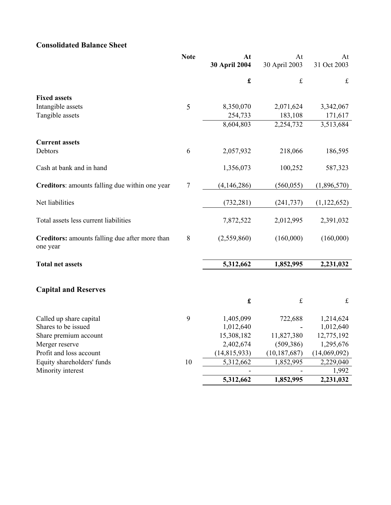# **Consolidated Balance Sheet**

|                                                            | <b>Note</b> | At<br>30 April 2004  | At<br>30 April 2003 | At<br>31 Oct 2003 |
|------------------------------------------------------------|-------------|----------------------|---------------------|-------------------|
|                                                            |             | $\pmb{\mathfrak{L}}$ | $\pounds$           | $\mathbf f$       |
| <b>Fixed assets</b>                                        |             |                      |                     |                   |
| Intangible assets                                          | 5           | 8,350,070            | 2,071,624           | 3,342,067         |
| Tangible assets                                            |             | 254,733              | 183,108             | 171,617           |
|                                                            |             | 8,604,803            | 2,254,732           | 3,513,684         |
| <b>Current assets</b>                                      |             |                      |                     |                   |
| Debtors                                                    | 6           | 2,057,932            | 218,066             | 186,595           |
| Cash at bank and in hand                                   |             | 1,356,073            | 100,252             | 587,323           |
| Creditors: amounts falling due within one year             | $\tau$      | (4,146,286)          | (560, 055)          | (1,896,570)       |
| Net liabilities                                            |             | (732, 281)           | (241, 737)          | (1, 122, 652)     |
| Total assets less current liabilities                      |             | 7,872,522            | 2,012,995           | 2,391,032         |
| Creditors: amounts falling due after more than<br>one year | 8           | (2,559,860)          | (160,000)           | (160,000)         |
| <b>Total net assets</b>                                    |             | 5,312,662            | 1,852,995           | 2,231,032         |
| <b>Capital and Reserves</b>                                |             |                      |                     |                   |
|                                                            |             | $\pmb{\mathbf{f}}$   | $\pounds$           | $\mathbf f$       |
| Called up share capital                                    | 9           | 1,405,099            | 722,688             | 1,214,624         |
| Shares to be issued                                        |             | 1,012,640            |                     | 1,012,640         |
| Share premium account                                      |             | 15,308,182           | 11,827,380          | 12,775,192        |
| Merger reserve                                             |             | 2,402,674            | (509, 386)          | 1,295,676         |
| Profit and loss account                                    |             | (14, 815, 933)       | (10, 187, 687)      | (14,069,092)      |
| Equity shareholders' funds                                 | 10          | 5,312,662            | 1,852,995           | 2,229,040         |
| Minority interest                                          |             |                      |                     | 1,992             |
|                                                            |             | 5,312,662            | 1,852,995           | 2,231,032         |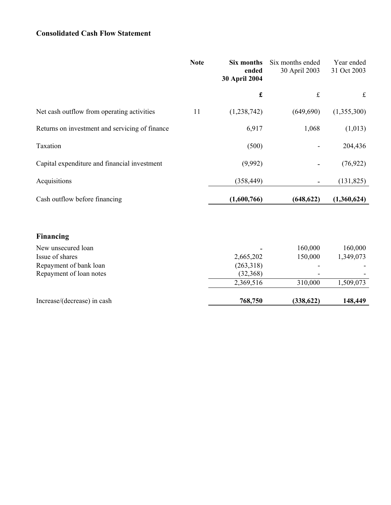# **Consolidated Cash Flow Statement**

|                                                | <b>Note</b> | Six months<br>ended<br><b>30 April 2004</b> | Six months ended<br>30 April 2003 | Year ended<br>31 Oct 2003 |
|------------------------------------------------|-------------|---------------------------------------------|-----------------------------------|---------------------------|
|                                                |             | £                                           | $\mathbf f$                       | $\mathbf f$               |
| Net cash outflow from operating activities     | 11          | (1,238,742)                                 | (649, 690)                        | (1,355,300)               |
| Returns on investment and servicing of finance |             | 6,917                                       | 1,068                             | (1,013)                   |
| Taxation                                       |             | (500)                                       |                                   | 204,436                   |
| Capital expenditure and financial investment   |             | (9,992)                                     | -                                 | (76, 922)                 |
| Acquisitions                                   |             | (358, 449)                                  | -                                 | (131, 825)                |
| Cash outflow before financing                  |             | (1,600,766)                                 | (648, 622)                        | (1,360,624)               |

# **Financing**

| Increase/(decrease) in cash | 768,750                  | (338, 622)               | 148,449   |
|-----------------------------|--------------------------|--------------------------|-----------|
|                             | 2,369,516                | 310,000                  | 1,509,073 |
| Repayment of loan notes     | (32, 368)                | $\overline{\phantom{0}}$ |           |
| Repayment of bank loan      | (263,318)                |                          |           |
| Issue of shares             | 2,665,202                | 150,000                  | 1,349,073 |
| New unsecured loan          | $\overline{\phantom{a}}$ | 160,000                  | 160,000   |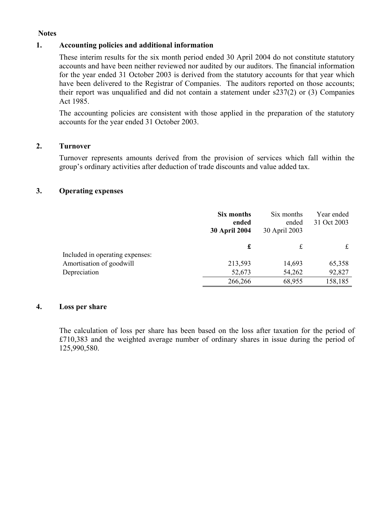#### **Notes**

#### **1. Accounting policies and additional information**

These interim results for the six month period ended 30 April 2004 do not constitute statutory accounts and have been neither reviewed nor audited by our auditors. The financial information for the year ended 31 October 2003 is derived from the statutory accounts for that year which have been delivered to the Registrar of Companies. The auditors reported on those accounts; their report was unqualified and did not contain a statement under s237(2) or (3) Companies Act 1985.

The accounting policies are consistent with those applied in the preparation of the statutory accounts for the year ended 31 October 2003.

#### **2. Turnover**

Turnover represents amounts derived from the provision of services which fall within the group's ordinary activities after deduction of trade discounts and value added tax.

#### **3. Operating expenses**

|                                 | Six months<br>ended<br><b>30 April 2004</b> | Six months<br>ended<br>30 April 2003 | Year ended<br>31 Oct 2003 |
|---------------------------------|---------------------------------------------|--------------------------------------|---------------------------|
|                                 | £                                           | £                                    |                           |
| Included in operating expenses: |                                             |                                      |                           |
| Amortisation of goodwill        | 213,593                                     | 14,693                               | 65,358                    |
| Depreciation                    | 52,673                                      | 54,262                               | 92,827                    |
|                                 | 266,266                                     | 68,955                               | 158,185                   |

#### **4. Loss per share**

The calculation of loss per share has been based on the loss after taxation for the period of £710,383 and the weighted average number of ordinary shares in issue during the period of 125,990,580.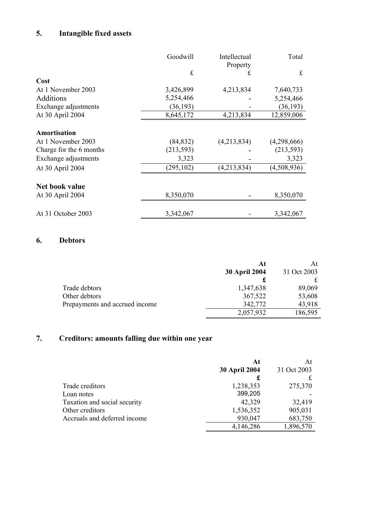# **5. Intangible fixed assets**

|                         | Goodwill   | Intellectual<br>Property | Total       |
|-------------------------|------------|--------------------------|-------------|
|                         | £          | £                        | $f_{\rm c}$ |
| Cost                    |            |                          |             |
| At 1 November 2003      | 3,426,899  | 4,213,834                | 7,640,733   |
| Additions               | 5,254,466  |                          | 5,254,466   |
| Exchange adjustments    | (36, 193)  |                          | (36, 193)   |
| At 30 April 2004        | 8,645,172  | 4,213,834                | 12,859,006  |
| Amortisation            |            |                          |             |
| At 1 November 2003      | (84, 832)  | (4,213,834)              | (4,298,666) |
| Charge for the 6 months | (213, 593) |                          | (213, 593)  |
| Exchange adjustments    | 3,323      |                          | 3,323       |
| At 30 April 2004        | (295, 102) | (4,213,834)              | (4,508,936) |
|                         |            |                          |             |
| Net book value          |            |                          |             |
| At 30 April 2004        | 8,350,070  |                          | 8,350,070   |
| At 31 October 2003      | 3,342,067  |                          | 3,342,067   |

# **6. Debtors**

|                                | At                   | At          |
|--------------------------------|----------------------|-------------|
|                                | <b>30 April 2004</b> | 31 Oct 2003 |
|                                |                      |             |
| Trade debtors                  | 1,347,638            | 89,069      |
| Other debtors                  | 367,522              | 53,608      |
| Prepayments and accrued income | 342,772              | 43,918      |
|                                | 2,057,932            | 186,595     |

# **7. Creditors: amounts falling due within one year**

|                              | At<br><b>30 April 2004</b> | At<br>31 Oct 2003 |
|------------------------------|----------------------------|-------------------|
|                              | £                          |                   |
| Trade creditors              | 1,238,353                  | 275,370           |
| Loan notes                   | 399,205                    |                   |
| Taxation and social security | 42,329                     | 32,419            |
| Other creditors              | 1,536,352                  | 905,031           |
| Accruals and deferred income | 930,047                    | 683,750           |
|                              | 4,146,286                  | 1,896,570         |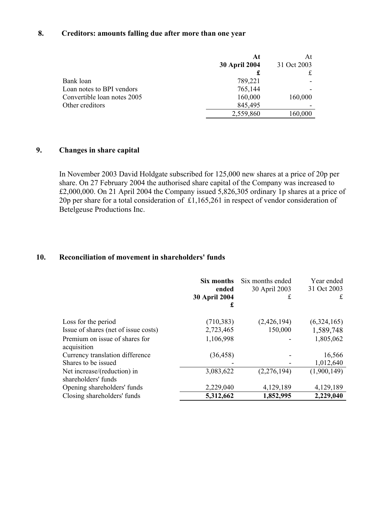## **8. Creditors: amounts falling due after more than one year**

|                             | At                   | At          |
|-----------------------------|----------------------|-------------|
|                             | <b>30 April 2004</b> | 31 Oct 2003 |
|                             | £                    |             |
| Bank loan                   | 789,221              |             |
| Loan notes to BPI vendors   | 765,144              |             |
| Convertible loan notes 2005 | 160,000              | 160,000     |
| Other creditors             | 845,495              |             |
|                             | 2,559,860            | 160,000     |

### **9. Changes in share capital**

In November 2003 David Holdgate subscribed for 125,000 new shares at a price of 20p per share. On 27 February 2004 the authorised share capital of the Company was increased to £2,000,000. On 21 April 2004 the Company issued 5,826,305 ordinary 1p shares at a price of 20p per share for a total consideration of £1,165,261 in respect of vendor consideration of Betelgeuse Productions Inc.

## **10. Reconciliation of movement in shareholders' funds**

|                                                    | Six months<br>ended<br>30 April 2004<br>£ | Six months ended<br>30 April 2003<br>£ | Year ended<br>31 Oct 2003<br>£ |
|----------------------------------------------------|-------------------------------------------|----------------------------------------|--------------------------------|
| Loss for the period                                | (710, 383)                                | (2,426,194)                            | (6,324,165)                    |
| Issue of shares (net of issue costs)               | 2,723,465                                 | 150,000                                | 1,589,748                      |
| Premium on issue of shares for<br>acquisition      | 1,106,998                                 |                                        | 1,805,062                      |
| Currency translation difference                    | (36, 458)                                 |                                        | 16,566                         |
| Shares to be issued                                |                                           |                                        | 1,012,640                      |
| Net increase/(reduction) in<br>shareholders' funds | 3,083,622                                 | (2,276,194)                            | (1,900,149)                    |
| Opening shareholders' funds                        | 2,229,040                                 | 4,129,189                              | 4,129,189                      |
| Closing shareholders' funds                        | 5,312,662                                 | 1,852,995                              | 2,229,040                      |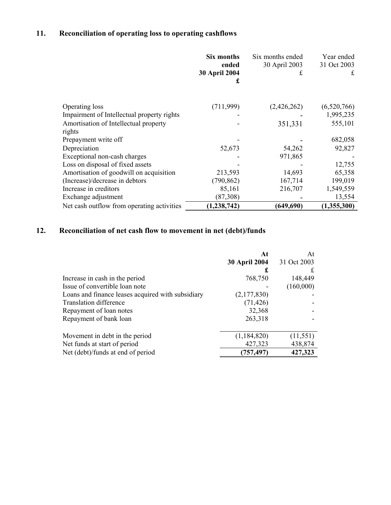# **11. Reconciliation of operating loss to operating cashflows**

|                                            | Six months<br>ended<br><b>30 April 2004</b><br>£ | Six months ended<br>30 April 2003<br>£ | Year ended<br>31 Oct 2003<br>£ |
|--------------------------------------------|--------------------------------------------------|----------------------------------------|--------------------------------|
| Operating loss                             | (711, 999)                                       | (2,426,262)                            | (6,520,766)                    |
| Impairment of Intellectual property rights |                                                  |                                        | 1,995,235                      |
| Amortisation of Intellectual property      |                                                  | 351,331                                | 555,101                        |
| rights                                     |                                                  |                                        |                                |
| Prepayment write off                       |                                                  |                                        | 682,058                        |
| Depreciation                               | 52,673                                           | 54,262                                 | 92,827                         |
| Exceptional non-cash charges               |                                                  | 971,865                                |                                |
| Loss on disposal of fixed assets           |                                                  |                                        | 12,755                         |
| Amortisation of goodwill on acquisition    | 213,593                                          | 14,693                                 | 65,358                         |
| (Increase)/decrease in debtors             | (790, 862)                                       | 167,714                                | 199,019                        |
| Increase in creditors                      | 85,161                                           | 216,707                                | 1,549,559                      |
| Exchange adjustment                        | (87,308)                                         |                                        | 13,554                         |
| Net cash outflow from operating activities | (1, 238, 742)                                    | (649, 690)                             | (1,355,300)                    |

# **12. Reconciliation of net cash flow to movement in net (debt)/funds**

|                                                   | At                   | At          |
|---------------------------------------------------|----------------------|-------------|
|                                                   | <b>30 April 2004</b> | 31 Oct 2003 |
|                                                   | £                    | £           |
| Increase in cash in the period                    | 768,750              | 148,449     |
| Issue of convertible loan note                    |                      | (160,000)   |
| Loans and finance leases acquired with subsidiary | (2,177,830)          |             |
| <b>Translation difference</b>                     | (71, 426)            |             |
| Repayment of loan notes                           | 32,368               |             |
| Repayment of bank loan                            | 263,318              |             |
| Movement in debt in the period                    | (1, 184, 820)        | (11, 551)   |
| Net funds at start of period                      | 427,323              | 438,874     |
| Net (debt)/funds at end of period                 | (757,497)            | 427,323     |